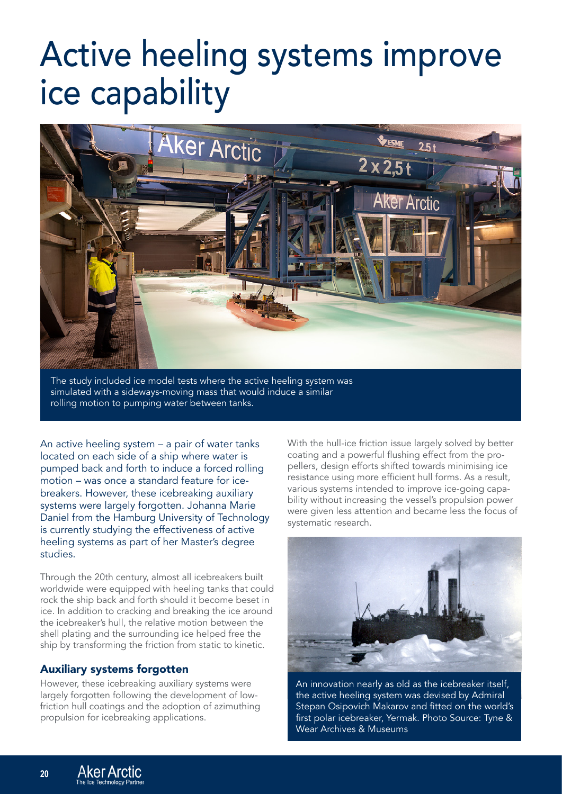## Active heeling systems improve ice capability



The study included ice model tests where the active heeling system was simulated with a sideways-moving mass that would induce a similar rolling motion to pumping water between tanks.

An active heeling system – a pair of water tanks located on each side of a ship where water is pumped back and forth to induce a forced rolling motion – was once a standard feature for icebreakers. However, these icebreaking auxiliary systems were largely forgotten. Johanna Marie Daniel from the Hamburg University of Technology is currently studying the effectiveness of active heeling systems as part of her Master's degree studies.

Through the 20th century, almost all icebreakers built worldwide were equipped with heeling tanks that could rock the ship back and forth should it become beset in ice. In addition to cracking and breaking the ice around the icebreaker's hull, the relative motion between the shell plating and the surrounding ice helped free the ship by transforming the friction from static to kinetic.

## Auxiliary systems forgotten

However, these icebreaking auxiliary systems were largely forgotten following the development of lowfriction hull coatings and the adoption of azimuthing propulsion for icebreaking applications.

With the hull-ice friction issue largely solved by better coating and a powerful flushing effect from the propellers, design efforts shifted towards minimising ice resistance using more efficient hull forms. As a result, various systems intended to improve ice-going capability without increasing the vessel's propulsion power were given less attention and became less the focus of systematic research.



An innovation nearly as old as the icebreaker itself, the active heeling system was devised by Admiral Stepan Osipovich Makarov and fitted on the world's first polar icebreaker, Yermak. Photo Source: Tyne & Wear Archives & Museums

**20**